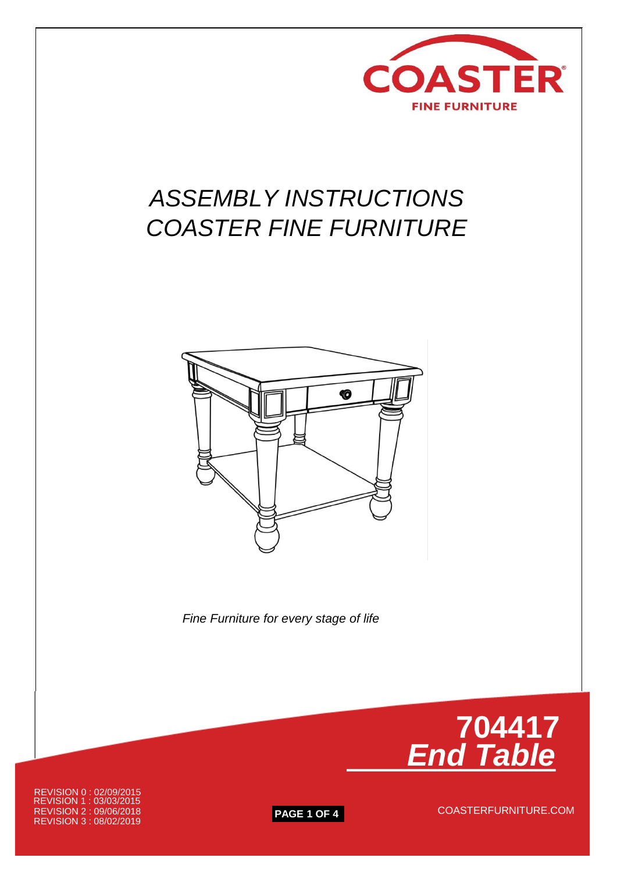

# *ASSEMBLY INSTRUCTIONS COASTER FINE FURNITURE*



 *Fine Furniture for every stage of life*



REVISION 3 : 08/02/2019 **PAGE 1 OF 4** REVISION 2 : 09/06/2018 COASTERFURNITURE.COM REVISION 1 : 03/03/2015 REVISION 0 : 02/09/2015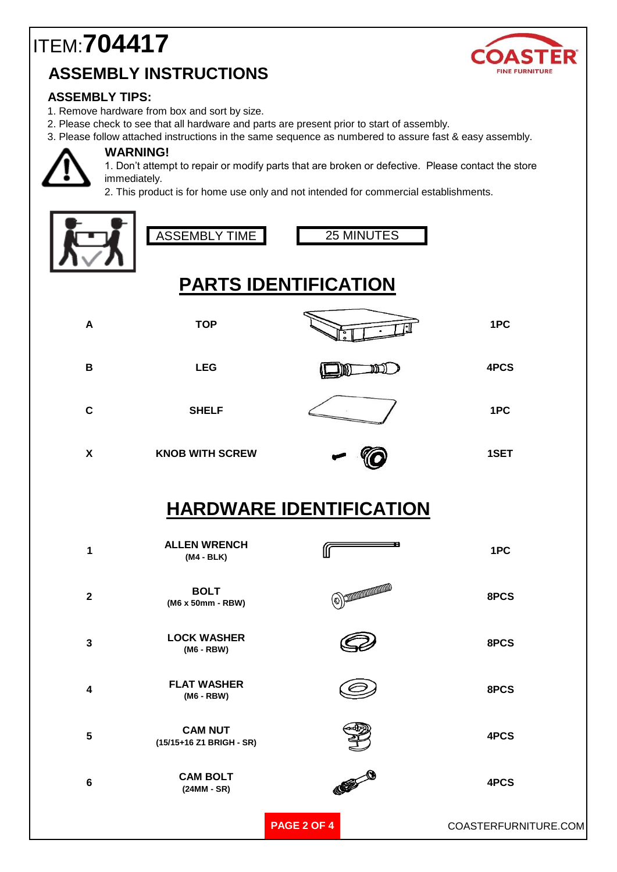## ITEM:**704417 ASSEMBLY INSTRUCTIONS**



#### **ASSEMBLY TIPS:**

- 1. Remove hardware from box and sort by size.
- 2. Please check to see that all hardware and parts are present prior to start of assembly.
- 3. Please follow attached instructions in the same sequence as numbered to assure fast & easy assembly.



#### **WARNING!**

1. Don't attempt to repair or modify parts that are broken or defective. Please contact the store immediately.

2. This product is for home use only and not intended for commercial establishments.





25 MINUTES

## **PARTS IDENTIFICATION**

| A                              | <b>TOP</b>                                 |                   | 1PC                  |
|--------------------------------|--------------------------------------------|-------------------|----------------------|
| $\, {\bf B}$                   | <b>LEG</b>                                 | וכונו             | 4PCS                 |
| $\mathbf C$                    | <b>SHELF</b>                               |                   | 1PC                  |
| $\boldsymbol{\mathsf{X}}$      | <b>KNOB WITH SCREW</b>                     |                   | 1SET                 |
| <b>HARDWARE IDENTIFICATION</b> |                                            |                   |                      |
| 1                              | <b>ALLEN WRENCH</b><br>$(M4 - BLK)$        | æ                 | 1PC                  |
| $\mathbf 2$                    | <b>BOLT</b><br>(M6 x 50mm - RBW)           | $\textcircled{3}$ | 8PCS                 |
| $\overline{\mathbf{3}}$        | <b>LOCK WASHER</b><br>(M6 - RBW)           |                   | 8PCS                 |
| $\overline{\mathbf{4}}$        | <b>FLAT WASHER</b><br>(M6 - RBW)           |                   | 8PCS                 |
| 5                              | <b>CAM NUT</b><br>(15/15+16 Z1 BRIGH - SR) |                   | 4PCS                 |
| 6                              | <b>CAM BOLT</b><br>$(24MM - SR)$           | COME O            | 4PCS                 |
|                                |                                            | PAGE 2 OF 4       | COASTERFURNITURE.COM |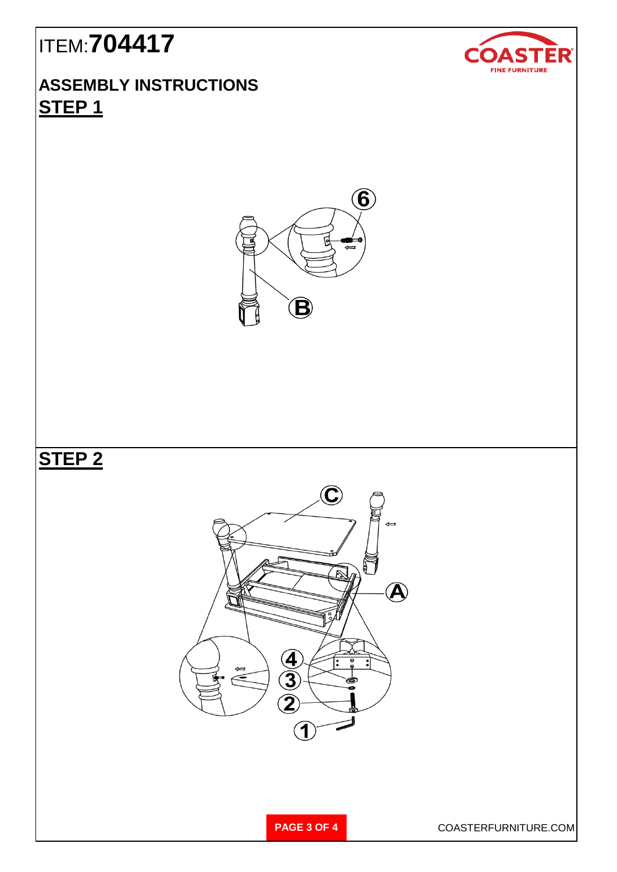# ITEM:**704417**

#### **ASSEMBLY INSTRUCTIONS STEP 1**



### **STEP 2**





**PAGE 3 OF 4** COASTERFURNITURE.COM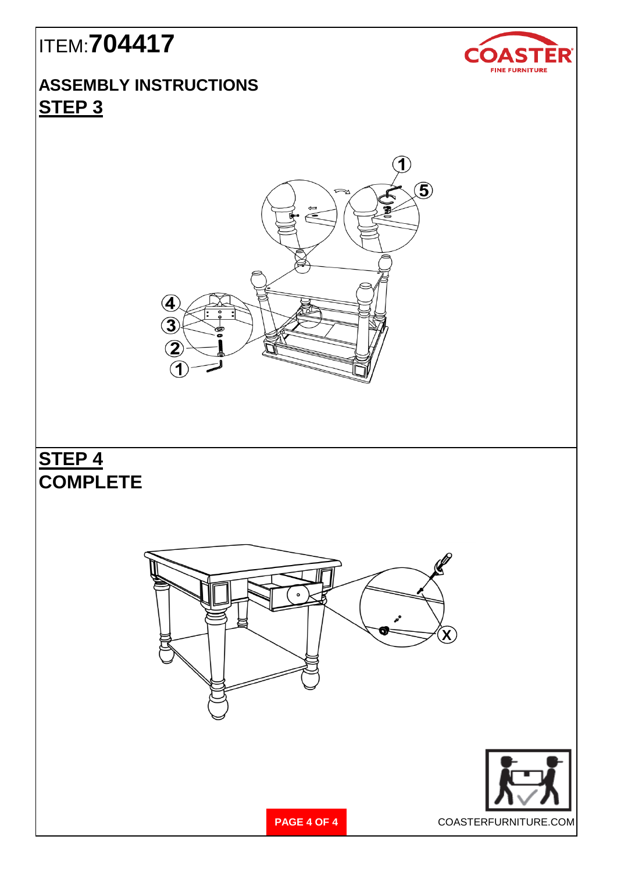# ITEM:**704417**

#### **ASSEMBLY INSTRUCTIONS STEP 3**



### **STEP 4 COMPLETE**